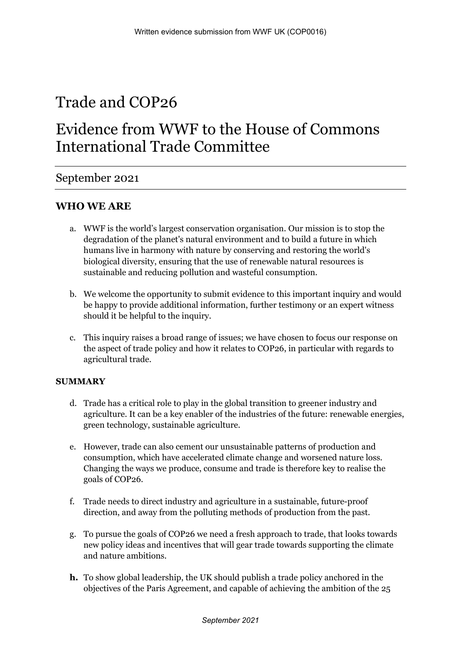# Trade and COP26

## Evidence from WWF to the House of Commons International Trade Committee

### September 2021

### **WHO WE ARE**

- a. WWF is the world's largest conservation organisation. Our mission is to stop the degradation of the planet's natural environment and to build a future in which humans live in harmony with nature by conserving and restoring the world's biological diversity, ensuring that the use of renewable natural resources is sustainable and reducing pollution and wasteful consumption.
- b. We welcome the opportunity to submit evidence to this important inquiry and would be happy to provide additional information, further testimony or an expert witness should it be helpful to the inquiry.
- c. This inquiry raises a broad range of issues; we have chosen to focus our response on the aspect of trade policy and how it relates to COP26, in particular with regards to agricultural trade.

#### **SUMMARY**

- d. Trade has a critical role to play in the global transition to greener industry and agriculture. It can be a key enabler of the industries of the future: renewable energies, green technology, sustainable agriculture.
- e. However, trade can also cement our unsustainable patterns of production and consumption, which have accelerated climate change and worsened nature loss. Changing the ways we produce, consume and trade is therefore key to realise the goals of COP26.
- f. Trade needs to direct industry and agriculture in a sustainable, future-proof direction, and away from the polluting methods of production from the past.
- g. To pursue the goals of COP26 we need a fresh approach to trade, that looks towards new policy ideas and incentives that will gear trade towards supporting the climate and nature ambitions.
- **h.** To show global leadership, the UK should publish a trade policy anchored in the objectives of the Paris Agreement, and capable of achieving the ambition of the 25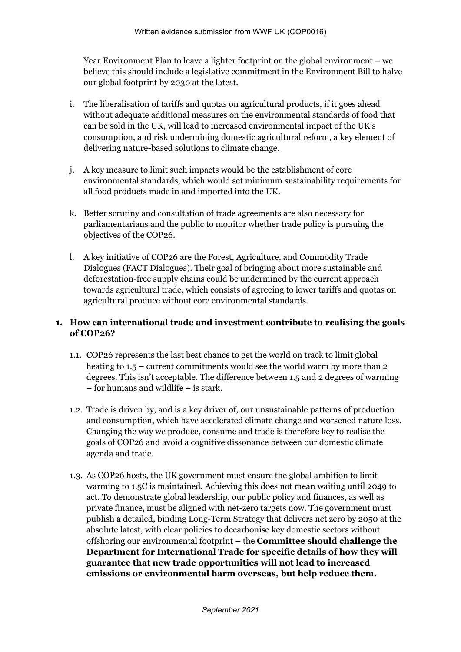Year Environment Plan to leave a lighter footprint on the global environment – we believe this should include a legislative commitment in the Environment Bill to halve our global footprint by 2030 at the latest.

- i. The liberalisation of tariffs and quotas on agricultural products, if it goes ahead without adequate additional measures on the environmental standards of food that can be sold in the UK, will lead to increased environmental impact of the UK's consumption, and risk undermining domestic agricultural reform, a key element of delivering nature-based solutions to climate change.
- j. A key measure to limit such impacts would be the establishment of core environmental standards, which would set minimum sustainability requirements for all food products made in and imported into the UK.
- k. Better scrutiny and consultation of trade agreements are also necessary for parliamentarians and the public to monitor whether trade policy is pursuing the objectives of the COP26.
- l. A key initiative of COP26 are the Forest, Agriculture, and Commodity Trade Dialogues (FACT Dialogues). Their goal of bringing about more sustainable and deforestation-free supply chains could be undermined by the current approach towards agricultural trade, which consists of agreeing to lower tariffs and quotas on agricultural produce without core environmental standards.

#### **1. How can international trade and investment contribute to realising the goals of COP26?**

- 1.1. COP26 represents the last best chance to get the world on track to limit global heating to 1.5 – current commitments would see the world warm by more than 2 degrees. This isn't acceptable. The difference between 1.5 and 2 degrees of warming – for humans and wildlife – is stark.
- 1.2. Trade is driven by, and is a key driver of, our unsustainable patterns of production and consumption, which have accelerated climate change and worsened nature loss. Changing the way we produce, consume and trade is therefore key to realise the goals of COP26 and avoid a cognitive dissonance between our domestic climate agenda and trade.
- 1.3. As COP26 hosts, the UK government must ensure the global ambition to limit warming to 1.5C is maintained. Achieving this does not mean waiting until 2049 to act. To demonstrate global leadership, our public policy and finances, as well as private finance, must be aligned with net-zero targets now. The government must publish a detailed, binding Long-Term Strategy that delivers net zero by 2050 at the absolute latest, with clear policies to decarbonise key domestic sectors without offshoring our environmental footprint – the **Committee should challenge the Department for International Trade for specific details of how they will guarantee that new trade opportunities will not lead to increased emissions or environmental harm overseas, but help reduce them.**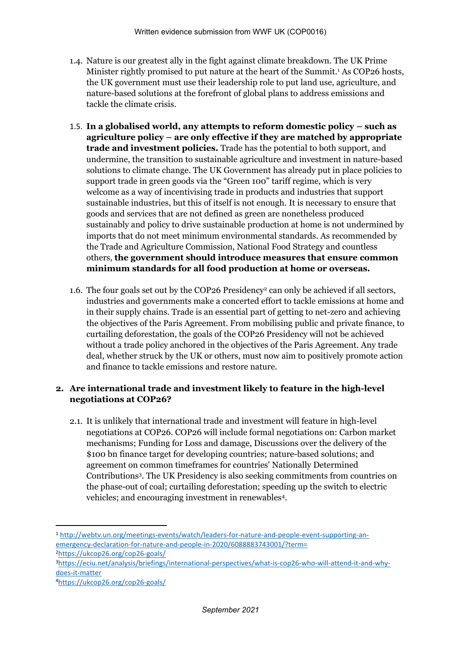- 1.4. Nature is our greatest ally in the fight against climate breakdown. The UK Prime Minister rightly promised to put nature at the heart of the Summit.<sup>1</sup> As COP26 hosts, the UK government must use their leadership role to put land use, agriculture, and nature-based solutions at the forefront of global plans to address emissions and tackle the climate crisis.
- 1.5. **In a globalised world, any attempts to reform domestic policy – such as agriculture policy – are only effective if they are matched by appropriate trade and investment policies.** Trade has the potential to both support, and undermine, the transition to sustainable agriculture and investment in nature-based solutions to climate change. The UK Government has already put in place policies to support trade in green goods via the "Green 100" tariff regime, which is very welcome as a way of incentivising trade in products and industries that support sustainable industries, but this of itself is not enough. It is necessary to ensure that goods and services that are not defined as green are nonetheless produced sustainably and policy to drive sustainable production at home is not undermined by imports that do not meet minimum environmental standards. As recommended by the Trade and Agriculture Commission, National Food Strategy and countless others, **the government should introduce measures that ensure common minimum standards for all food production at home or overseas.**
- 1.6. The four goals set out by the COP26 Presidency<sup>2</sup> can only be achieved if all sectors, industries and governments make a concerted effort to tackle emissions at home and in their supply chains. Trade is an essential part of getting to net-zero and achieving the objectives of the Paris Agreement. From mobilising public and private finance, to curtailing deforestation, the goals of the COP26 Presidency will not be achieved without a trade policy anchored in the objectives of the Paris Agreement. Any trade deal, whether struck by the UK or others, must now aim to positively promote action and finance to tackle emissions and restore nature.

#### **2. Are international trade and investment likely to feature in the high-level negotiations at COP26?**

2.1. It is unlikely that international trade and investment will feature in high-level negotiations at COP26. COP26 will include formal negotiations on: Carbon market mechanisms; Funding for Loss and damage, Discussions over the delivery of the \$100 bn finance target for developing countries; nature-based solutions; and agreement on common timeframes for countries' Nationally Determined Contributions<sup>3</sup> . The UK Presidency is also seeking commitments from countries on the phase-out of coal; curtailing deforestation; speeding up the switch to electric vehicles; and encouraging investment in renewables<sup>4</sup> .

<sup>1</sup> [http://webtv.un.org/meetings-events/watch/leaders-for-nature-and-people-event-supporting-an](http://webtv.un.org/meetings-events/watch/leaders-for-nature-and-people-event-supporting-an-emergency-declaration-for-nature-and-people-in-2020/6088883743001/?term=)[emergency-declaration-for-nature-and-people-in-2020/6088883743001/?term=](http://webtv.un.org/meetings-events/watch/leaders-for-nature-and-people-event-supporting-an-emergency-declaration-for-nature-and-people-in-2020/6088883743001/?term=) <sup>2</sup><https://ukcop26.org/cop26-goals/>

<sup>3</sup>[https://eciu.net/analysis/briefings/international-perspectives/what-is-cop26-who-will-attend-it-and-why](https://eciu.net/analysis/briefings/international-perspectives/what-is-cop26-who-will-attend-it-and-why-does-it-matter)[does-it-matter](https://eciu.net/analysis/briefings/international-perspectives/what-is-cop26-who-will-attend-it-and-why-does-it-matter)

<sup>4</sup><https://ukcop26.org/cop26-goals/>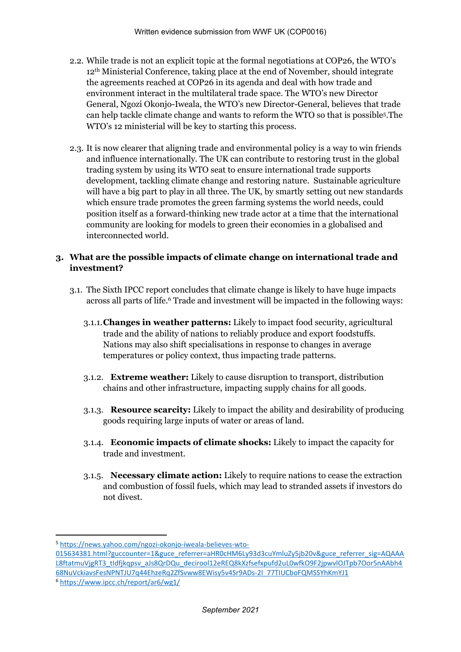- 2.2. While trade is not an explicit topic at the formal negotiations at COP26, the WTO's 12th Ministerial Conference, taking place at the end of November, should integrate the agreements reached at COP26 in its agenda and deal with how trade and environment interact in the multilateral trade space. The WTO's new Director General, Ngozi Okonjo-Iweala, the WTO's new Director-General, believes that trade can help tackle climate change and wants to reform the WTO so that is possible<sup>5</sup> .The WTO's 12 ministerial will be key to starting this process.
- 2.3. It is now clearer that aligning trade and environmental policy is a way to win friends and influence internationally. The UK can contribute to restoring trust in the global trading system by using its WTO seat to ensure international trade supports development, tackling climate change and restoring nature. Sustainable agriculture will have a big part to play in all three. The UK, by smartly setting out new standards which ensure trade promotes the green farming systems the world needs, could position itself as a forward-thinking new trade actor at a time that the international community are looking for models to green their economies in a globalised and interconnected world.

#### **3. What are the possible impacts of climate change on international trade and investment?**

- 3.1. The Sixth IPCC report concludes that climate change is likely to have huge impacts across all parts of life.<sup>6</sup> Trade and investment will be impacted in the following ways:
	- 3.1.1.**Changes in weather patterns:** Likely to impact food security, agricultural trade and the ability of nations to reliably produce and export foodstuffs. Nations may also shift specialisations in response to changes in average temperatures or policy context, thus impacting trade patterns.
	- 3.1.2. **Extreme weather:** Likely to cause disruption to transport, distribution chains and other infrastructure, impacting supply chains for all goods.
	- 3.1.3. **Resource scarcity:** Likely to impact the ability and desirability of producing goods requiring large inputs of water or areas of land.
	- 3.1.4. **Economic impacts of climate shocks:** Likely to impact the capacity for trade and investment.
	- 3.1.5. **Necessary climate action:** Likely to require nations to cease the extraction and combustion of fossil fuels, which may lead to stranded assets if investors do not divest.

<sup>5</sup> [https://news.yahoo.com/ngozi-okonjo-iweala-believes-wto-](https://news.yahoo.com/ngozi-okonjo-iweala-believes-wto-015634381.html?guccounter=1&guce_referrer=aHR0cHM6Ly93d3cuYmluZy5jb20v&guce_referrer_sig=AQAAAL8ftatmuVjgRT3_tIdfjkqpsv_aJs8QrDQu_decirool12eREQ8kXzfsefxpufd2uL0wfkO9F2jpwvlOJTpb7Oor5nAAbh468NuVckiavsFesNPNTJU7q44EhzeRq2ZfSvww8EWisy5v4Sr9ADs-2I_77TIUCboFQMSSYhKmYJ1)

[<sup>015634381.</sup>html?guccounter=1&guce\\_referrer=aHR0cHM6Ly93d3cuYmluZy5jb20v&guce\\_referrer\\_sig=AQAAA](https://news.yahoo.com/ngozi-okonjo-iweala-believes-wto-015634381.html?guccounter=1&guce_referrer=aHR0cHM6Ly93d3cuYmluZy5jb20v&guce_referrer_sig=AQAAAL8ftatmuVjgRT3_tIdfjkqpsv_aJs8QrDQu_decirool12eREQ8kXzfsefxpufd2uL0wfkO9F2jpwvlOJTpb7Oor5nAAbh468NuVckiavsFesNPNTJU7q44EhzeRq2ZfSvww8EWisy5v4Sr9ADs-2I_77TIUCboFQMSSYhKmYJ1) [L8ftatmuVjgRT3\\_tIdfjkqpsv\\_aJs8QrDQu\\_decirool12eREQ8kXzfsefxpufd2uL0wfkO9F2jpwvlOJTpb7Oor5nAAbh4](https://news.yahoo.com/ngozi-okonjo-iweala-believes-wto-015634381.html?guccounter=1&guce_referrer=aHR0cHM6Ly93d3cuYmluZy5jb20v&guce_referrer_sig=AQAAAL8ftatmuVjgRT3_tIdfjkqpsv_aJs8QrDQu_decirool12eREQ8kXzfsefxpufd2uL0wfkO9F2jpwvlOJTpb7Oor5nAAbh468NuVckiavsFesNPNTJU7q44EhzeRq2ZfSvww8EWisy5v4Sr9ADs-2I_77TIUCboFQMSSYhKmYJ1) [68NuVckiavsFesNPNTJU7q44EhzeRq2ZfSvww8EWisy5v4Sr9ADs-2I\\_77TIUCboFQMSSYhKmYJ1](https://news.yahoo.com/ngozi-okonjo-iweala-believes-wto-015634381.html?guccounter=1&guce_referrer=aHR0cHM6Ly93d3cuYmluZy5jb20v&guce_referrer_sig=AQAAAL8ftatmuVjgRT3_tIdfjkqpsv_aJs8QrDQu_decirool12eREQ8kXzfsefxpufd2uL0wfkO9F2jpwvlOJTpb7Oor5nAAbh468NuVckiavsFesNPNTJU7q44EhzeRq2ZfSvww8EWisy5v4Sr9ADs-2I_77TIUCboFQMSSYhKmYJ1) <sup>6</sup> <https://www.ipcc.ch/report/ar6/wg1/>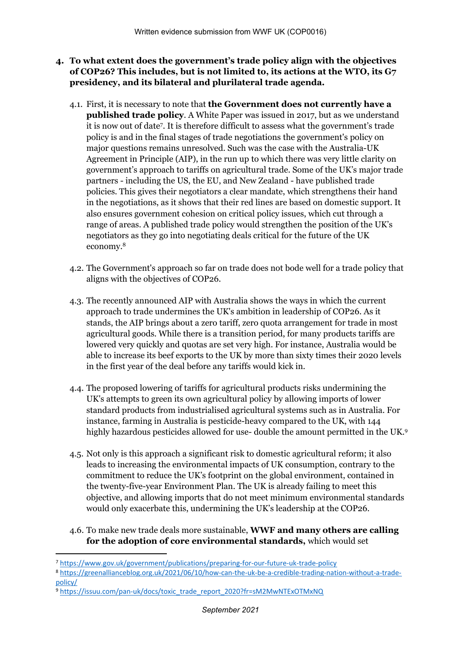- **4. To what extent does the government's trade policy align with the objectives of COP26? This includes, but is not limited to, its actions at the WTO, its G7 presidency, and its bilateral and plurilateral trade agenda.**
	- 4.1. First, it is necessary to note that **the Government does not currently have a published trade policy**. A White Paper was issued in 2017, but as we understand it is now out of date<sup>7</sup> . It is therefore difficult to assess what the government's trade policy is and in the final stages of trade negotiations the government's policy on major questions remains unresolved. Such was the case with the Australia-UK Agreement in Principle (AIP), in the run up to which there was very little clarity on government's approach to tariffs on agricultural trade. Some of the UK's major trade partners - including the US, the EU, and New Zealand - have published trade policies. This gives their negotiators a clear mandate, which strengthens their hand in the negotiations, as it shows that their red lines are based on domestic support. It also ensures government cohesion on critical policy issues, which cut through a range of areas. A published trade policy would strengthen the position of the UK's negotiators as they go into negotiating deals critical for the future of the UK economy.<sup>8</sup>
	- 4.2. The Government's approach so far on trade does not bode well for a trade policy that aligns with the objectives of COP26.
	- 4.3. The recently announced AIP with Australia shows the ways in which the current approach to trade undermines the UK's ambition in leadership of COP26. As it stands, the AIP brings about a zero tariff, zero quota arrangement for trade in most agricultural goods. While there is a transition period, for many products tariffs are lowered very quickly and quotas are set very high. For instance, Australia would be able to increase its beef exports to the UK by more than sixty times their 2020 levels in the first year of the deal before any tariffs would kick in.
	- 4.4. The proposed lowering of tariffs for agricultural products risks undermining the UK's attempts to green its own agricultural policy by allowing imports of lower standard products from industrialised agricultural systems such as in Australia. For instance, farming in Australia is pesticide-heavy compared to the UK, with 144 highly hazardous pesticides allowed for use-double the amount permitted in the UK.<sup>9</sup>
	- 4.5. Not only is this approach a significant risk to domestic agricultural reform; it also leads to increasing the environmental impacts of UK consumption, contrary to the commitment to reduce the UK's footprint on the global environment, contained in the twenty-five-year Environment Plan. The UK is already failing to meet this objective, and allowing imports that do not meet minimum environmental standards would only exacerbate this, undermining the UK's leadership at the COP26.
	- 4.6. To make new trade deals more sustainable, **WWF and many others are calling for the adoption of core environmental standards,** which would set

<sup>9</sup> [https://issuu.com/pan-uk/docs/toxic\\_trade\\_report\\_2020?fr=sM2MwNTExOTMxNQ](https://issuu.com/pan-uk/docs/toxic_trade_report_2020?fr=sM2MwNTExOTMxNQ)

<sup>7</sup> <https://www.gov.uk/government/publications/preparing-for-our-future-uk-trade-policy>

<sup>8</sup> [https://greenallianceblog.org.uk/2021/06/10/how-can-the-uk-be-a-credible-trading-nation-without-a-trade](https://greenallianceblog.org.uk/2021/06/10/how-can-the-uk-be-a-credible-trading-nation-without-a-trade-policy/)[policy/](https://greenallianceblog.org.uk/2021/06/10/how-can-the-uk-be-a-credible-trading-nation-without-a-trade-policy/)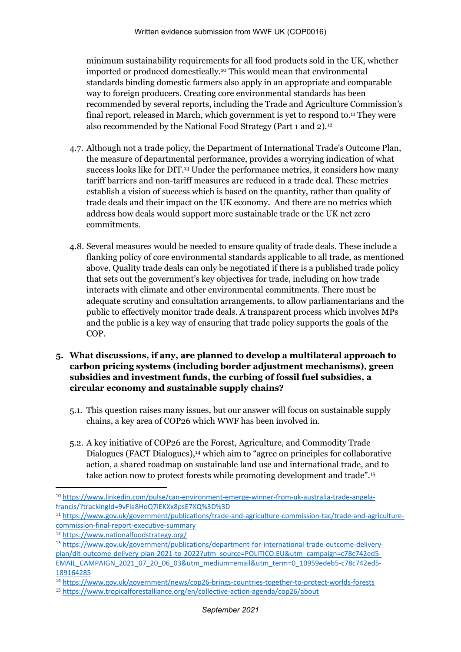minimum sustainability requirements for all food products sold in the UK, whether imported or produced domestically.<sup>10</sup> This would mean that environmental standards binding domestic farmers also apply in an appropriate and comparable way to foreign producers. Creating core environmental standards has been recommended by several reports, including the Trade and Agriculture Commission's final report, released in March, which government is yet to respond to.<sup>11</sup> They were also recommended by the National Food Strategy (Part 1 and 2).<sup>12</sup>

- 4.7. Although not a trade policy, the Department of International Trade's Outcome Plan, the measure of departmental performance, provides a worrying indication of what success looks like for DIT.<sup>13</sup> Under the performance metrics, it considers how many tariff barriers and non-tariff measures are reduced in a trade deal. These metrics establish a vision of success which is based on the quantity, rather than quality of trade deals and their impact on the UK economy. And there are no metrics which address how deals would support more sustainable trade or the UK net zero commitments.
- 4.8. Several measures would be needed to ensure quality of trade deals. These include a flanking policy of core environmental standards applicable to all trade, as mentioned above. Quality trade deals can only be negotiated if there is a published trade policy that sets out the government's key objectives for trade, including on how trade interacts with climate and other environmental commitments. There must be adequate scrutiny and consultation arrangements, to allow parliamentarians and the public to effectively monitor trade deals. A transparent process which involves MPs and the public is a key way of ensuring that trade policy supports the goals of the COP.
- **5. What discussions, if any, are planned to develop a multilateral approach to carbon pricing systems (including border adjustment mechanisms), green subsidies and investment funds, the curbing of fossil fuel subsidies, a circular economy and sustainable supply chains?**
	- 5.1. This question raises many issues, but our answer will focus on sustainable supply chains, a key area of COP26 which WWF has been involved in.
	- 5.2. A key initiative of COP26 are the Forest, Agriculture, and Commodity Trade Dialogues (FACT Dialogues),<sup>14</sup> which aim to "agree on principles for collaborative action, a shared roadmap on sustainable land use and international trade, and to take action now to protect forests while promoting development and trade".<sup>15</sup>

<sup>10</sup> [https://www.linkedin.com/pulse/can-environment-emerge-winner-from-uk-australia-trade-angela](https://www.linkedin.com/pulse/can-environment-emerge-winner-from-uk-australia-trade-angela-francis/?trackingId=9vFIa8HoQ7iEKXx8psE7XQ%3D%3D)[francis/?trackingId=9vFIa8HoQ7iEKXx8psE7XQ%3D%3D](https://www.linkedin.com/pulse/can-environment-emerge-winner-from-uk-australia-trade-angela-francis/?trackingId=9vFIa8HoQ7iEKXx8psE7XQ%3D%3D)

<sup>11</sup> [https://www.gov.uk/government/publications/trade-and-agriculture-commission-tac/trade-and-agriculture](https://www.gov.uk/government/publications/trade-and-agriculture-commission-tac/trade-and-agriculture-commission-final-report-executive-summary)[commission-final-report-executive-summary](https://www.gov.uk/government/publications/trade-and-agriculture-commission-tac/trade-and-agriculture-commission-final-report-executive-summary)

<sup>12</sup> <https://www.nationalfoodstrategy.org/>

<sup>13</sup> [https://www.gov.uk/government/publications/department-for-international-trade-outcome-delivery](https://www.gov.uk/government/publications/department-for-international-trade-outcome-delivery-plan/dit-outcome-delivery-plan-2021-to-2022?utm_source=POLITICO.EU&utm_campaign=c78c742ed5-EMAIL_CAMPAIGN_2021_07_20_06_03&utm_medium=email&utm_term=0_10959edeb5-c78c742ed5-189164285)[plan/dit-outcome-delivery-plan-2021-to-2022?utm\\_source=POLITICO.EU&utm\\_campaign=c78c742ed5-](https://www.gov.uk/government/publications/department-for-international-trade-outcome-delivery-plan/dit-outcome-delivery-plan-2021-to-2022?utm_source=POLITICO.EU&utm_campaign=c78c742ed5-EMAIL_CAMPAIGN_2021_07_20_06_03&utm_medium=email&utm_term=0_10959edeb5-c78c742ed5-189164285) [EMAIL\\_CAMPAIGN\\_2021\\_07\\_20\\_06\\_03&utm\\_medium=email&utm\\_term=0\\_10959edeb5-c78c742ed5-](https://www.gov.uk/government/publications/department-for-international-trade-outcome-delivery-plan/dit-outcome-delivery-plan-2021-to-2022?utm_source=POLITICO.EU&utm_campaign=c78c742ed5-EMAIL_CAMPAIGN_2021_07_20_06_03&utm_medium=email&utm_term=0_10959edeb5-c78c742ed5-189164285) [189164285](https://www.gov.uk/government/publications/department-for-international-trade-outcome-delivery-plan/dit-outcome-delivery-plan-2021-to-2022?utm_source=POLITICO.EU&utm_campaign=c78c742ed5-EMAIL_CAMPAIGN_2021_07_20_06_03&utm_medium=email&utm_term=0_10959edeb5-c78c742ed5-189164285)

<sup>14</sup> <https://www.gov.uk/government/news/cop26-brings-countries-together-to-protect-worlds-forests>

<sup>15</sup> <https://www.tropicalforestalliance.org/en/collective-action-agenda/cop26/about>